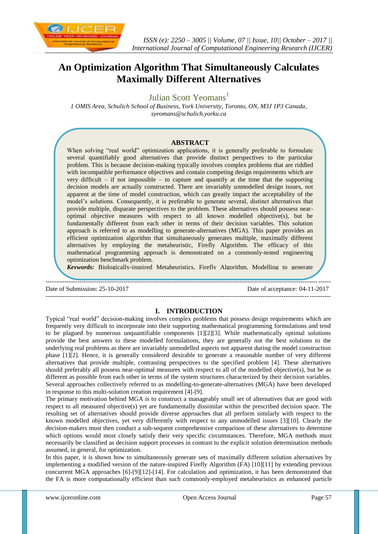

# **An Optimization Algorithm That Simultaneously Calculates Maximally Different Alternatives**

Julian Scott Yeomans<sup>1</sup>

*1 OMIS Area, Schulich School of Business, York University, Toronto, ON, M3J 1P3 Canada, syeomans@schulich.yorku.ca*

## **ABSTRACT**

When solving "real world" optimization applications, it is generally preferable to formulate several quantifiably good alternatives that provide distinct perspectives to the particular problem. This is because decision-making typically involves complex problems that are riddled with incompatible performance objectives and contain competing design requirements which are very difficult  $-$  if not impossible  $-$  to capture and quantify at the time that the supporting decision models are actually constructed. There are invariably unmodelled design issues, not apparent at the time of model construction, which can greatly impact the acceptability of the model's solutions. Consequently, it is preferable to generate several, distinct alternatives that provide multiple, disparate perspectives to the problem. These alternatives should possess nearoptimal objective measures with respect to all known modelled objective(s), but be fundamentally different from each other in terms of their decision variables. This solution approach is referred to as modelling to generate-alternatives (MGA). This paper provides an efficient optimization algorithm that simultaneously generates multiple, maximally different alternatives by employing the metaheuristic, Firefly Algorithm. The efficacy of this mathematical programming approach is demonstrated on a commonly-tested engineering optimization benchmark problem.

*Keywords:* Biologically-inspired Metaheuristics, Firefly Algorithm, Modelling to generate

---------------------------------------------------------------------------------------------------------------------------------------

Date of Submission: 25-10-2017 Date of acceptance: 04-11-2017

alternatives

## **I. INTRODUCTION**

---------------------------------------------------------------------------------------------------------------------------------------

Typical "real world" decision-making involves complex problems that possess design requirements which are frequently very difficult to incorporate into their supporting mathematical programming formulations and tend to be plagued by numerous unquantifiable components [1][2][3]. While mathematically optimal solutions provide the best answers to these modelled formulations, they are generally not the best solutions to the underlying real problems as there are invariably unmodelled aspects not apparent during the model construction phase [1][2]. Hence, it is generally considered desirable to generate a reasonable number of very different alternatives that provide multiple, contrasting perspectives to the specified problem [4]. These alternatives should preferably all possess near-optimal measures with respect to all of the modelled objective(s), but be as different as possible from each other in terms of the system structures characterized by their decision variables. Several approaches collectively referred to as modelling-to-generate-alternatives (MGA) have been developed in response to this multi-solution creation requirement [4]-[9].

The primary motivation behind MGA is to construct a manageably small set of alternatives that are good with respect to all measured objective(s) yet are fundamentally dissimilar within the prescribed decision space. The resulting set of alternatives should provide diverse approaches that all perform similarly with respect to the known modelled objectives, yet very differently with respect to any unmodelled issues [3][10]. Clearly the decision-makers must then conduct a sub-sequent comprehensive comparison of these alternatives to determine which options would most closely satisfy their very specific circumstances. Therefore, MGA methods must necessarily be classified as decision support processes in contrast to the explicit solution determination methods assumed, in general, for optimization.

In this paper, it is shown how to simultaneously generate sets of maximally different solution alternatives by implementing a modified version of the nature-inspired Firefly Algorithm (FA) [10][11] by extending previous concurrent MGA approaches [6]-[9][12]-[14]. For calculation and optimization, it has been demonstrated that the FA is more computationally efficient than such commonly-employed metaheuristics as enhanced particle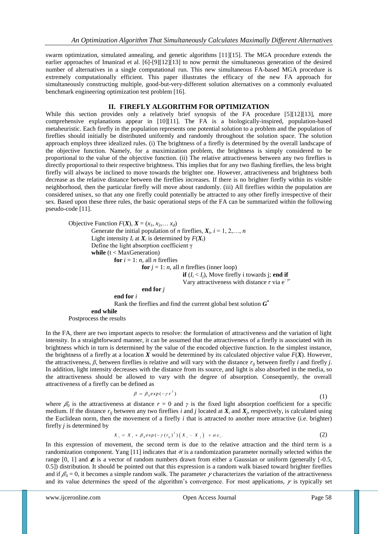swarm optimization, simulated annealing, and genetic algorithms [11][15]. The MGA procedure extends the earlier approaches of Imanirad et al. [6]-[9][12][13] to now permit the simultaneous generation of the desired number of alternatives in a single computational run. This new simultaneous FA-based MGA procedure is extremely computationally efficient. This paper illustrates the efficacy of the new FA approach for simultaneously constructing multiple, good-but-very-different solution alternatives on a commonly evaluated benchmark engineering optimization test problem [16].

## **II. FIREFLY ALGORITHM FOR OPTIMIZATION**

While this section provides only a relatively brief synopsis of the FA procedure [5][12][13], more comprehensive explanations appear in [10][11]. The FA is a biologically-inspired, population-based metaheuristic. Each firefly in the population represents one potential solution to a problem and the population of fireflies should initially be distributed uniformly and randomly throughout the solution space. The solution approach employs three idealized rules. (i) The brightness of a firefly is determined by the overall landscape of the objective function. Namely, for a maximization problem, the brightness is simply considered to be proportional to the value of the objective function. (ii) The relative attractiveness between any two fireflies is directly proportional to their respective brightness. This implies that for any two flashing fireflies, the less bright firefly will always be inclined to move towards the brighter one. However, attractiveness and brightness both decrease as the relative distance between the fireflies increases. If there is no brighter firefly within its visible neighborhood, then the particular firefly will move about randomly. (iii) All fireflies within the population are considered unisex, so that any one firefly could potentially be attracted to any other firefly irrespective of their sex. Based upon these three rules, the basic operational steps of the FA can be summarized within the following pseudo-code [11].

Objective Function  $F(X)$ ,  $X = (x_1, x_2, \ldots, x_d)$ Generate the initial population of *n* fireflies,  $X_i$ ,  $i = 1, 2, \ldots, n$ Light intensity  $I_i$  at  $X_i$  is determined by  $F(X_i)$ Define the light absorption coefficient γ **while** (t < MaxGeneration) **for**  $i = 1$ : *n*, all *n* fireflies **for**  $j = 1$ : *n*, all *n* fireflies (inner loop) **if**  $(I_i < I_j)$ , Move firefly i towards j; **end if**  Vary attractiveness with distance *r* via e- *γr* **end for** *j* **end for** *i* Rank the fireflies and find the current global best solution *G* **\* end while**

Postprocess the results

In the FA, there are two important aspects to resolve: the formulation of attractiveness and the variation of light intensity. In a straightforward manner, it can be assumed that the attractiveness of a firefly is associated with its brightness which in turn is determined by the value of the encoded objective function. In the simplest instance, the brightness of a firefly at a location  $X$  would be determined by its calculated objective value  $F(X)$ . However, the attractiveness, *β*, between fireflies is relative and will vary with the distance *rij* between firefly *i* and firefly *j*. In addition, light intensity decreases with the distance from its source, and light is also absorbed in the media, so the attractiveness should be allowed to vary with the degree of absorption. Consequently, the overall attractiveness should be anowed to vary with the degree of absolutativeness of a firefly can be defined as<br>  $\beta = \beta_0 exp(-\gamma r^2)$ 

$$
B = \beta_0 exp(-\gamma r^2) \tag{1}
$$

where  $\beta_0$  is the attractiveness at distance  $r = 0$  and  $\gamma$  is the fixed light absorption coefficient for a specific medium. If the distance  $r_{ij}$  between any two fireflies *i* and *j* located at  $X_i$  and  $X_j$ , respectively, is calculated using the Euclidean norm, then the movement of a firefly *i* that is attracted to another more attractive (i.e. brighter) firefly *j* is determined by  $x_i = x_i + \beta_0 exp(-\gamma (r_{ij})^2) (x_i - x_j) + \alpha \varepsilon_i$ . (2) firefly *j* is determined by

$$
X_i = X_i + \beta_0 exp(-\gamma (r_{ij})^2) (X_i - X_j) + \alpha \varepsilon_i. \tag{2}
$$

In this expression of movement, the second term is due to the relative attraction and the third term is a randomization component. Yang [11] indicates that <sup>∝</sup> is a randomization parameter normally selected within the range [0, 1] and  $\epsilon$  is a vector of random numbers drawn from either a Gaussian or uniform (generally  $[-0.5, 1]$ 0.5]) distribution. It should be pointed out that this expression is a random walk biased toward brighter fireflies and if  $\beta_0 = 0$ , it becomes a simple random walk. The parameter  $\gamma$  characterizes the variation of the attractiveness and its value determines the speed of the algorithm's convergence. For most applications,  $\gamma$  is typically set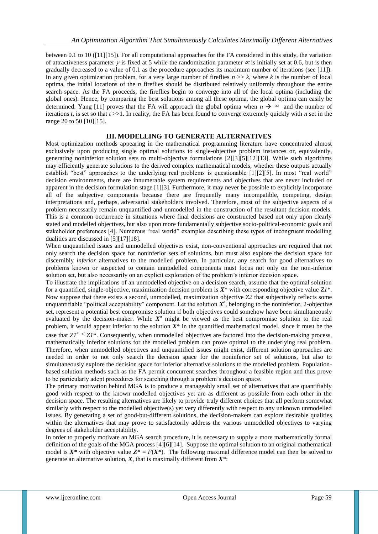between 0.1 to 10 ([11][15]). For all computational approaches for the FA considered in this study, the variation of attractiveness parameter  $\gamma$  is fixed at 5 while the randomization parameter  $\alpha$  is initially set at 0.6, but is then gradually decreased to a value of 0.1 as the procedure approaches its maximum number of iterations (see [11]). In any given optimization problem, for a very large number of fireflies  $n \gg k$ , where k is the number of local optima, the initial locations of the *n* fireflies should be distributed relatively uniformly throughout the entire search space. As the FA proceeds, the fireflies begin to converge into all of the local optima (including the global ones). Hence, by comparing the best solutions among all these optima, the global optima can easily be determined. Yang [11] proves that the FA will approach the global optima when  $n \to \infty$  and the number of iterations *t*, is set so that *t* >>1. In reality, the FA has been found to converge extremely quickly with *n* set in the range 20 to 50 [10][15].

# **III. MODELLING TO GENERATE ALTERNATIVES**

Most optimization methods appearing in the mathematical programming literature have concentrated almost exclusively upon producing single optimal solutions to single-objective problem instances or, equivalently, generating noninferior solution sets to multi-objective formulations [2][3][5][12][13]. While such algorithms may efficiently generate solutions to the derived complex mathematical models, whether these outputs actually establish "best" approaches to the underlying real problems is questionable [1][2][5]. In most "real world" decision environments, there are innumerable system requirements and objectives that are never included or apparent in the decision formulation stage [1][3]. Furthermore, it may never be possible to explicitly incorporate all of the subjective components because there are frequently many incompatible, competing, design interpretations and, perhaps, adversarial stakeholders involved. Therefore, most of the subjective aspects of a problem necessarily remain unquantified and unmodelled in the construction of the resultant decision models. This is a common occurrence in situations where final decisions are constructed based not only upon clearly stated and modelled objectives, but also upon more fundamentally subjective socio-political-economic goals and stakeholder preferences [4]. Numerous "real world" examples describing these types of incongruent modelling dualities are discussed in [5][17][18].

When unquantified issues and unmodelled objectives exist, non-conventional approaches are required that not only search the decision space for noninferior sets of solutions, but must also explore the decision space for discernibly *inferior* alternatives to the modelled problem. In particular, any search for good alternatives to problems known or suspected to contain unmodelled components must focus not only on the non-inferior solution set, but also necessarily on an explicit exploration of the problem's inferior decision space.

To illustrate the implications of an unmodelled objective on a decision search, assume that the optimal solution for a quantified, single-objective, maximization decision problem is *X*\* with corresponding objective value *Z1*\*. Now suppose that there exists a second, unmodelled, maximization objective *Z2* that subjectively reflects some unquantifiable "political acceptability" component. Let the solution  $X^a$ , belonging to the noninferior, 2-objective set, represent a potential best compromise solution if both objectives could somehow have been simultaneously evaluated by the decision-maker. While  $X^a$  might be viewed as the best compromise solution to the real problem, it would appear inferior to the solution *X*\* in the quantified mathematical model, since it must be the

case that  $ZI^a \leq ZI^*$ . Consequently, when unmodelled objectives are factored into the decision-making process, mathematically inferior solutions for the modelled problem can prove optimal to the underlying real problem. Therefore, when unmodelled objectives and unquantified issues might exist, different solution approaches are needed in order to not only search the decision space for the noninferior set of solutions, but also to simultaneously explore the decision space for inferior alternative solutions to the modelled problem. Populationbased solution methods such as the FA permit concurrent searches throughout a feasible region and thus prove to be particularly adept procedures for searching through a problem's decision space.

The primary motivation behind MGA is to produce a manageably small set of alternatives that are quantifiably good with respect to the known modelled objectives yet are as different as possible from each other in the decision space. The resulting alternatives are likely to provide truly different choices that all perform somewhat similarly with respect to the modelled objective(s) yet very differently with respect to any unknown unmodelled issues. By generating a set of good-but-different solutions, the decision-makers can explore desirable qualities within the alternatives that may prove to satisfactorily address the various unmodelled objectives to varying degrees of stakeholder acceptability.

In order to properly motivate an MGA search procedure, it is necessary to supply a more mathematically formal definition of the goals of the MGA process [4][6][14]. Suppose the optimal solution to an original mathematical model is  $X^*$  with objective value  $Z^* = F(X^*)$ . The following maximal difference model can then be solved to generate an alternative solution, *X*, that is maximally different from *X\**: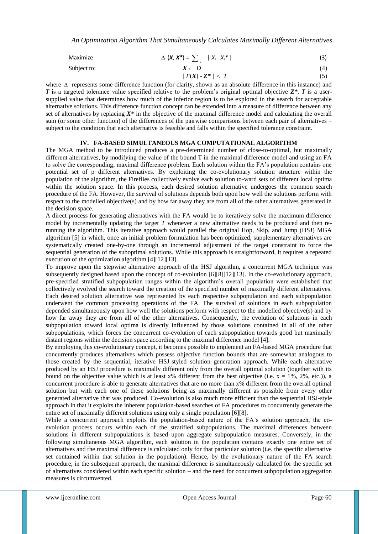$$
\Delta(X, X^*) = \sum_i |X_i - X_i^*| \tag{3}
$$

Subject to: 
$$
X \in D
$$
 (4)

$$
|F(X) - Z^*| \leq T \tag{5}
$$

where  $\Delta$  represents some difference function (for clarity, shown as an absolute difference in this instance) and *T* is a targeted tolerance value specified relative to the problem's original optimal objective *Z\**. *T* is a usersupplied value that determines how much of the inferior region is to be explored in the search for acceptable alternative solutions. This difference function concept can be extended into a measure of difference between any set of alternatives by replacing *X\** in the objective of the maximal difference model and calculating the overall sum (or some other function) of the differences of the pairwise comparisons between each pair of alternatives – subject to the condition that each alternative is feasible and falls within the specified tolerance constraint.

# **IV. FA-BASED SIMULTANEOUS MGA COMPUTATIONAL ALGORITHM**

The MGA method to be introduced produces a pre-determined number of close-to-optimal, but maximally different alternatives, by modifying the value of the bound T in the maximal difference model and using an FA to solve the corresponding, maximal difference problem. Each solution within the FA's population contains one potential set of p different alternatives. By exploiting the co-evolutionary solution structure within the population of the algorithm, the Fireflies collectively evolve each solution to-ward sets of different local optima within the solution space. In this process, each desired solution alternative undergoes the common search procedure of the FA. However, the survival of solutions depends both upon how well the solutions perform with respect to the modelled objective(s) and by how far away they are from all of the other alternatives generated in the decision space.

A direct process for generating alternatives with the FA would be to iteratively solve the maximum difference model by incrementally updating the target *T* whenever a new alternative needs to be produced and then rerunning the algorithm. This iterative approach would parallel the original Hop, Skip, and Jump (HSJ) MGA algorithm [5] in which, once an initial problem formulation has been optimized, supplementary alternatives are systematically created one-by-one through an incremental adjustment of the target constraint to force the sequential generation of the suboptimal solutions. While this approach is straightforward, it requires a repeated execution of the optimization algorithm [4][12][13].

To improve upon the stepwise alternative approach of the HSJ algorithm, a concurrent MGA technique was subsequently designed based upon the concept of co-evolution [6][8][12][13]. In the co-evolutionary approach, pre-specified stratified subpopulation ranges within the algorithm's overall population were established that collectively evolved the search toward the creation of the specified number of maximally different alternatives. Each desired solution alternative was represented by each respective subpopulation and each subpopulation underwent the common processing operations of the FA. The survival of solutions in each subpopulation depended simultaneously upon how well the solutions perform with respect to the modelled objective(s) and by how far away they are from all of the other alternatives. Consequently, the evolution of solutions in each subpopulation toward local optima is directly influenced by those solutions contained in all of the other subpopulations, which forces the concurrent co-evolution of each subpopulation towards good but maximally distant regions within the decision space according to the maximal difference model [4].

By employing this co-evolutionary concept, it becomes possible to implement an FA-based MGA procedure that concurrently produces alternatives which possess objective function bounds that are somewhat analogous to those created by the sequential, iterative HSJ-styled solution generation approach. While each alternative produced by an HSJ procedure is maximally different only from the overall optimal solution (together with its bound on the objective value which is at least  $x\%$  different from the best objective (i.e.  $x = 1\%$ , 2%, etc.)), a concurrent procedure is able to generate alternatives that are no more than x% different from the overall optimal solution but with each one of these solutions being as maximally different as possible from every other generated alternative that was produced. Co-evolution is also much more efficient than the sequential HSJ-style approach in that it exploits the inherent population-based searches of FA procedures to concurrently generate the entire set of maximally different solutions using only a single population [6][8].

While a concurrent approach exploits the population-based nature of the FA's solution approach, the coevolution process occurs within each of the stratified subpopulations. The maximal differences between solutions in different subpopulations is based upon aggregate subpopulation measures. Conversely, in the following simultaneous MGA algorithm, each solution in the population contains exactly one entire set of alternatives and the maximal difference is calculated only for that particular solution (i.e. the specific alternative set contained within that solution in the population). Hence, by the evolutionary nature of the FA search procedure, in the subsequent approach, the maximal difference is simultaneously calculated for the specific set of alternatives considered within each specific solution – and the need for concurrent subpopulation aggregation measures is circumvented.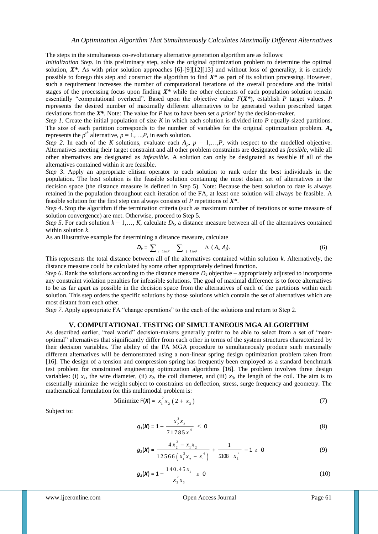The steps in the simultaneous co-evolutionary alternative generation algorithm are as follows:

*Initialization Step*. In this preliminary step, solve the original optimization problem to determine the optimal solution,  $X^*$ . As with prior solution approaches  $[6]-[9][12][13]$  and without loss of generality, it is entirely possible to forego this step and construct the algorithm to find *X\** as part of its solution processing. However, such a requirement increases the number of computational iterations of the overall procedure and the initial stages of the processing focus upon finding  $X^*$  while the other elements of each population solution remain essentially "computational overhead". Based upon the objective value *F*(*X\**), establish *P* target values. *P* represents the desired number of maximally different alternatives to be generated within prescribed target deviations from the *X\**. Note: The value for *P* has to have been set *a priori* by the decision-maker.

*Step 1*. Create the initial population of size *K* in which each solution is divided into *P* equally-sized partitions. The size of each partition corresponds to the number of variables for the original optimization problem.  $A_p$ represents the  $p^{th}$  alternative,  $p = 1, \ldots, P$ , in each solution.

*Step 2*. In each of the *K* solutions, evaluate each  $A_p$ ,  $p = 1,...,P$ , with respect to the modelled objective. Alternatives meeting their target constraint and all other problem constraints are designated as *feasible*, while all other alternatives are designated as *infeasible*. A solution can only be designated as feasible if all of the alternatives contained within it are feasible.

*Step 3*. Apply an appropriate elitism operator to each solution to rank order the best individuals in the population. The best solution is the feasible solution containing the most distant set of alternatives in the decision space (the distance measure is defined in Step 5). Note: Because the best solution to date is always retained in the population throughout each iteration of the FA, at least one solution will always be feasible. A feasible solution for the first step can always consists of *P* repetitions of *X\**.

*Step 4*. Stop the algorithm if the termination criteria (such as maximum number of iterations or some measure of solution convergence) are met. Otherwise, proceed to Step 5.

*Step 5*. For each solution  $k = 1,..., K$ , calculate  $D_k$ , a distance measure between all of the alternatives contained within solution *k*.

As an illustrative example for determining a distance measure, calculate

$$
D_k = \sum_{i=1 \text{top}} \sum_{j=1 \text{top}} \Delta (A_i, A_j). \tag{6}
$$

This represents the total distance between all of the alternatives contained within solution *k*. Alternatively, the distance measure could be calculated by some other appropriately defined function.

*Step 6*. Rank the solutions according to the distance measure  $D_k$  objective – appropriately adjusted to incorporate any constraint violation penalties for infeasible solutions. The goal of maximal difference is to force alternatives to be as far apart as possible in the decision space from the alternatives of each of the partitions within each solution. This step orders the specific solutions by those solutions which contain the set of alternatives which are most distant from each other.

*Step 7*. Apply appropriate FA "change operations" to the each of the solutions and return to Step 2.

#### **V. COMPUTATIONAL TESTING OF SIMULTANEOUS MGA ALGORITHM**

As described earlier, "real world" decision-makers generally prefer to be able to select from a set of "nearoptimal" alternatives that significantly differ from each other in terms of the system structures characterized by their decision variables. The ability of the FA MGA procedure to simultaneously produce such maximally different alternatives will be demonstrated using a non-linear spring design optimization problem taken from [16]. The design of a tension and compression spring has frequently been employed as a standard benchmark test problem for constrained engineering optimization algorithms [16]. The problem involves three design variables: (i)  $x_1$ , the wire diameter, (ii)  $x_2$ , the coil diameter, and (iii)  $x_3$ , the length of the coil. The aim is to essentially minimize the weight subject to constraints on deflection, stress, surge frequency and geometry. The mathematical formulation for this multimodal problem is:

$$
\text{Minimize } \mathsf{F}(\mathsf{X}) = x_1^2 x_2 \left(2 + x_3\right) \tag{7}
$$

Subject to:

$$
g_1(\mathbf{X}) = 1 - \frac{x_2^3 x_3}{7 \cdot 17 \cdot 85 x_1^4} \le 0
$$
 (8)

$$
g_2(\mathbf{X}) = \frac{4 x_2^2 - x_1 x_2}{1 \cdot 2 \cdot 5 \cdot 6 \cdot \left(x_1^3 x_2 - x_1^4\right)} + \frac{1}{5108 x_1^2} - 1 \leq 0
$$
\n(9)

$$
g_3(\mathbf{X}) = 1 - \frac{140.45 x_1}{x_2^2 x_3} \le 0
$$
 (10)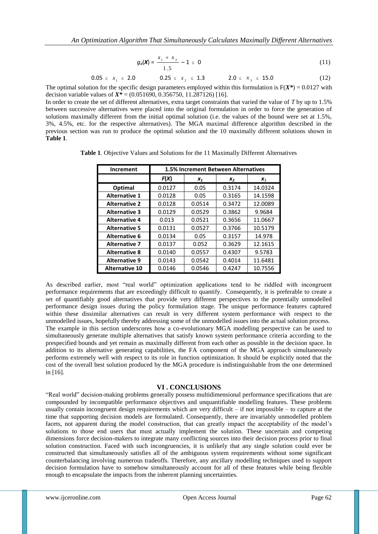$$
g_4(\mathbf{X}) = \frac{x_1 + x_2}{1.5} - 1 \le 0
$$
 (11)

 $0.05 \le x_1 \le 2.0$   $0.25 \le x_2 \le 1.3$   $2.0 \le x_3 \le 15.0$  (12)

The optimal solution for the specific design parameters employed within this formulation is  $F(X^*) = 0.0127$  with decision variable values of *X\** = (0.051690, 0.356750, 11.287126) [16].

In order to create the set of different alternatives, extra target constraints that varied the value of *T* by up to 1.5% between successive alternatives were placed into the original formulation in order to force the generation of solutions maximally different from the initial optimal solution (i.e. the values of the bound were set at 1.5%, 3%, 4.5%, etc. for the respective alternatives). The MGA maximal difference algorithm described in the previous section was run to produce the optimal solution and the 10 maximally different solutions shown in **Table 1**.

| <b>Increment</b>      | <b>1.5% Increment Between Alternatives</b> |        |                |            |
|-----------------------|--------------------------------------------|--------|----------------|------------|
|                       | F(X)                                       | $x_1$  | x <sub>2</sub> | $\chi_{2}$ |
| Optimal               | 0.0127                                     | 0.05   | 0.3174         | 14.0324    |
| <b>Alternative 1</b>  | 0.0128                                     | 0.05   | 0.3165         | 14.1598    |
| <b>Alternative 2</b>  | 0.0128                                     | 0.0514 | 0.3472         | 12.0089    |
| <b>Alternative 3</b>  | 0.0129                                     | 0.0529 | 0.3862         | 9.9684     |
| <b>Alternative 4</b>  | 0.013                                      | 0.0521 | 0.3656         | 11.0667    |
| <b>Alternative 5</b>  | 0.0131                                     | 0.0527 | 0.3766         | 10.5179    |
| <b>Alternative 6</b>  | 0.0134                                     | 0.05   | 0.3157         | 14.978     |
| <b>Alternative 7</b>  | 0.0137                                     | 0.052  | 0.3629         | 12.1615    |
| <b>Alternative 8</b>  | 0.0140                                     | 0.0557 | 0.4307         | 9.5783     |
| <b>Alternative 9</b>  | 0.0143                                     | 0.0542 | 0.4014         | 11.6481    |
| <b>Alternative 10</b> | 0.0146                                     | 0.0546 | 0.4247         | 10.7556    |

**Table 1**. Objective Values and Solutions for the 11 Maximally Different Alternatives

As described earlier, most "real world" optimization applications tend to be riddled with incongruent performance requirements that are exceedingly difficult to quantify. Consequently, it is preferable to create a set of quantifiably good alternatives that provide very different perspectives to the potentially unmodelled performance design issues during the policy formulation stage. The unique performance features captured within these dissimilar alternatives can result in very different system performance with respect to the unmodelled issues, hopefully thereby addressing some of the unmodelled issues into the actual solution process. The example in this section underscores how a co-evolutionary MGA modelling perspective can be used to simultaneously generate multiple alternatives that satisfy known system performance criteria according to the prespecified bounds and yet remain as maximally different from each other as possible in the decision space. In addition to its alternative generating capabilities, the FA component of the MGA approach simultaneously performs extremely well with respect to its role in function optimization. It should be explicitly noted that the cost of the overall best solution produced by the MGA procedure is indistinguishable from the one determined in [16].

### **VI . CONCLUSIONS**

"Real world" decision-making problems generally possess multidimensional performance specifications that are compounded by incompatible performance objectives and unquantifiable modelling features. These problems usually contain incongruent design requirements which are very difficult  $-$  if not impossible  $-$  to capture at the time that supporting decision models are formulated. Consequently, there are invariably unmodelled problem facets, not apparent during the model construction, that can greatly impact the acceptability of the model's solutions to those end users that must actually implement the solution. These uncertain and competing dimensions force decision-makers to integrate many conflicting sources into their decision process prior to final solution construction. Faced with such incongruencies, it is unlikely that any single solution could ever be constructed that simultaneously satisfies all of the ambiguous system requirements without some significant counterbalancing involving numerous tradeoffs. Therefore, any ancillary modelling techniques used to support decision formulation have to somehow simultaneously account for all of these features while being flexible enough to encapsulate the impacts from the inherent planning uncertainties.